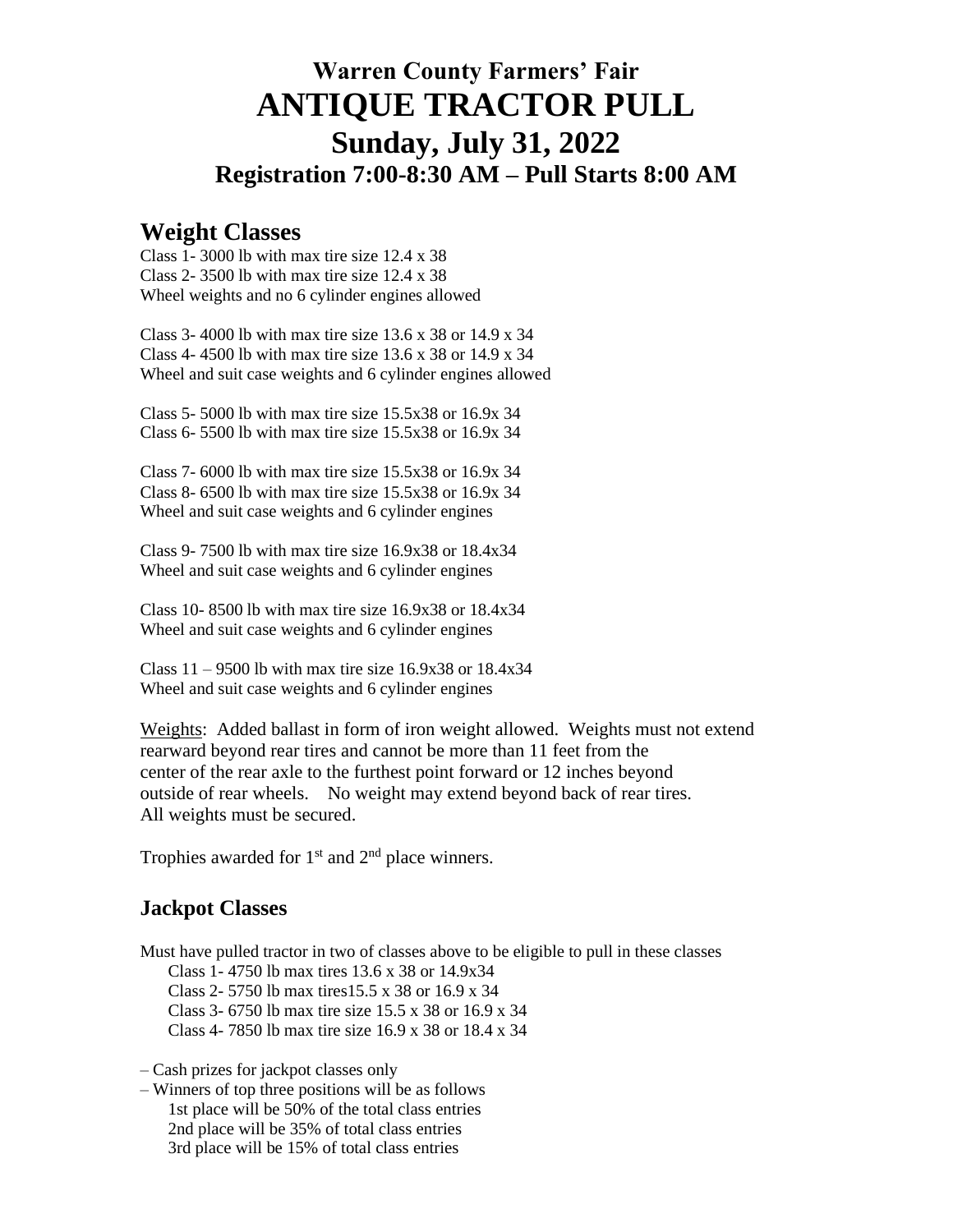# **Warren County Farmers' Fair ANTIQUE TRACTOR PULL Sunday, July 31, 2022 Registration 7:00-8:30 AM – Pull Starts 8:00 AM**

## **Weight Classes**

Class 1- 3000 lb with max tire size 12.4 x 38 Class 2- 3500 lb with max tire size  $12.4 \times 38$ Wheel weights and no 6 cylinder engines allowed

Class 3- 4000 lb with max tire size 13.6 x 38 or 14.9 x 34 Class 4- 4500 lb with max tire size 13.6 x 38 or 14.9 x 34 Wheel and suit case weights and 6 cylinder engines allowed

Class 5- 5000 lb with max tire size 15.5x38 or 16.9x 34 Class 6- 5500 lb with max tire size 15.5x38 or 16.9x 34

Class 7- 6000 lb with max tire size 15.5x38 or 16.9x 34 Class 8- 6500 lb with max tire size 15.5x38 or 16.9x 34 Wheel and suit case weights and 6 cylinder engines

Class 9- 7500 lb with max tire size 16.9x38 or 18.4x34 Wheel and suit case weights and 6 cylinder engines

Class 10- 8500 lb with max tire size 16.9x38 or 18.4x34 Wheel and suit case weights and 6 cylinder engines

Class  $11 - 9500$  lb with max tire size 16.9x38 or 18.4x34 Wheel and suit case weights and 6 cylinder engines

Weights: Added ballast in form of iron weight allowed. Weights must not extend rearward beyond rear tires and cannot be more than 11 feet from the center of the rear axle to the furthest point forward or 12 inches beyond outside of rear wheels. No weight may extend beyond back of rear tires. All weights must be secured.

Trophies awarded for  $1<sup>st</sup>$  and  $2<sup>nd</sup>$  place winners.

## **Jackpot Classes**

Must have pulled tractor in two of classes above to be eligible to pull in these classes Class 1- 4750 lb max tires 13.6 x 38 or 14.9x34 Class 2- 5750 lb max tires15.5 x 38 or 16.9 x 34 Class 3- 6750 lb max tire size 15.5 x 38 or 16.9 x 34 Class 4- 7850 lb max tire size 16.9 x 38 or 18.4 x 34

– Cash prizes for jackpot classes only

– Winners of top three positions will be as follows 1st place will be 50% of the total class entries 2nd place will be 35% of total class entries 3rd place will be 15% of total class entries